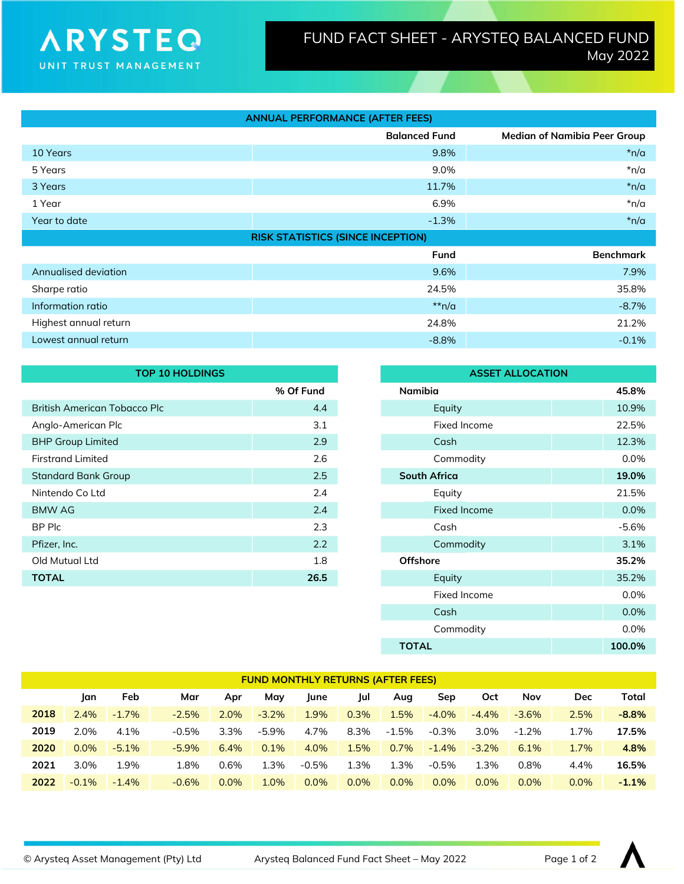## **ARYSTEO** UNIT TRUST MANAGEMENT

| <b>ANNUAL PERFORMANCE (AFTER FEES)</b>   |                      |                                     |  |  |  |  |
|------------------------------------------|----------------------|-------------------------------------|--|--|--|--|
|                                          | <b>Balanced Fund</b> | <b>Median of Namibia Peer Group</b> |  |  |  |  |
| 10 Years                                 | 9.8%                 | $*n/a$                              |  |  |  |  |
| 5 Years                                  | 9.0%                 | $*n/a$                              |  |  |  |  |
| 3 Years                                  | 11.7%                | $*n/a$                              |  |  |  |  |
| 1 Year                                   | 6.9%                 | $*n/a$                              |  |  |  |  |
| Year to date                             | $-1.3\%$             | $*n/a$                              |  |  |  |  |
| <b>RISK STATISTICS (SINCE INCEPTION)</b> |                      |                                     |  |  |  |  |
|                                          | <b>Fund</b>          | <b>Benchmark</b>                    |  |  |  |  |
| Annualised deviation                     | 9.6%                 | 7.9%                                |  |  |  |  |
| Sharpe ratio                             | 24.5%                | 35.8%                               |  |  |  |  |
| Information ratio                        | $**n/a$              | $-8.7%$                             |  |  |  |  |
| Highest annual return                    | 24.8%                | 21.2%                               |  |  |  |  |
| Lowest annual return                     | $-8.8%$              | $-0.1%$                             |  |  |  |  |

| <b>TOP 10 HOLDINGS</b>       |           |  | <b>ASSET ALLOCATION</b> |         |  |  |
|------------------------------|-----------|--|-------------------------|---------|--|--|
|                              | % Of Fund |  | Namibia                 | 45.8%   |  |  |
| British American Tobacco Plc | 4.4       |  | Equity                  | 10.9%   |  |  |
| Anglo-American Plc           | 3.1       |  | Fixed Income            | 22.5%   |  |  |
| <b>BHP Group Limited</b>     | 2.9       |  | Cash                    | 12.3%   |  |  |
| <b>Firstrand Limited</b>     | 2.6       |  | Commodity               | $0.0\%$ |  |  |
| <b>Standard Bank Group</b>   | 2.5       |  | <b>South Africa</b>     | 19.0%   |  |  |
| Nintendo Co Ltd              | 2.4       |  | Equity                  | 21.5%   |  |  |
| BMW AG                       | 2.4       |  | <b>Fixed Income</b>     | $0.0\%$ |  |  |
| BP Plc                       | 2.3       |  | Cash                    | -5.6%   |  |  |
| Pfizer, Inc.                 | 2.2       |  | Commodity               | 3.1%    |  |  |
| Old Mutual Ltd               | 1.8       |  | <b>Offshore</b>         | 35.2%   |  |  |
| <b>TOTAL</b>                 | 26.5      |  | Equity                  | 35.2%   |  |  |
|                              |           |  |                         |         |  |  |

|           |  | <b>ASSET ALLOCATION</b>     |       |  |  |  |
|-----------|--|-----------------------------|-------|--|--|--|
| % Of Fund |  | <b>Namibia</b>              | 45.8% |  |  |  |
| 4.4       |  | Equity                      | 10.9% |  |  |  |
| 3.1       |  | Fixed Income                | 22.5% |  |  |  |
| 2.9       |  | Cash                        | 12.3% |  |  |  |
| 2.6       |  | Commodity                   | 0.0%  |  |  |  |
| 2.5       |  | <b>South Africa</b>         | 19.0% |  |  |  |
| 2.4       |  | 21.5%<br>Equity             |       |  |  |  |
| 2.4       |  | 0.0%<br><b>Fixed Income</b> |       |  |  |  |
| 2.3       |  | Cash                        |       |  |  |  |
| 2.2       |  | Commodity<br>3.1%           |       |  |  |  |
| 1.8       |  | <b>Offshore</b>             | 35.2% |  |  |  |
| 26.5      |  | Equity                      | 35.2% |  |  |  |
|           |  | <b>Fixed Income</b>         | 0.0%  |  |  |  |
|           |  | Cash                        | 0.0%  |  |  |  |
|           |  | Commodity                   | 0.0%  |  |  |  |
|           |  | 100.0%                      |       |  |  |  |

| <b>FUND MONTHLY RETURNS (AFTER FEES)</b> |         |          |          |         |          |         |         |          |          |          |          |            |         |
|------------------------------------------|---------|----------|----------|---------|----------|---------|---------|----------|----------|----------|----------|------------|---------|
|                                          | lan     | Feb      | Mar      | Apr     | May      | June    | Jul     | Aug      | Sep      | Oct      | Nov      | <b>Dec</b> | Total   |
| 2018                                     | 2.4%    | $-1.7\%$ | $-2.5%$  | 2.0%    | $-3.2\%$ | 1.9%    | 0.3%    | 1.5%     | $-4.0\%$ | $-4.4\%$ | $-3.6\%$ | 2.5%       | $-8.8%$ |
| 2019                                     | 2.0%    | 4.1%     | $-0.5%$  | $3.3\%$ | $-5.9\%$ | 4.7%    | 8.3%    | $-1.5\%$ | $-0.3\%$ | $3.0\%$  | $-1.2%$  | 1.7%       | 17.5%   |
| 2020                                     | $0.0\%$ | $-5.1%$  | $-5.9\%$ | 6.4%    | 0.1%     | 4.0%    | 1.5%    | $0.7\%$  | $-1.4\%$ | $-3.2\%$ | 6.1%     | 1.7%       | 4.8%    |
| 2021                                     | 3.0%    | 1.9%     | 1.8%     | 0.6%    | 1.3%     | $-0.5%$ | 1.3%    | 1.3%     | $-0.5\%$ | 1.3%     | 0.8%     | 4.4%       | 16.5%   |
| 2022                                     | $-0.1%$ | $-1.4%$  | $-0.6%$  | $0.0\%$ | 1.0%     | 0.0%    | $0.0\%$ | 0.0%     | $0.0\%$  | $0.0\%$  | $0.0\%$  | $0.0\%$    | $-1.1%$ |